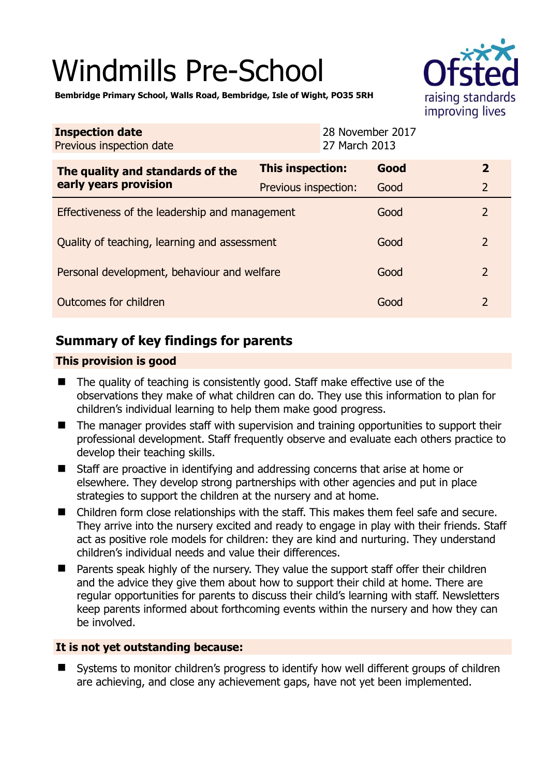# Windmills Pre-School



**Bembridge Primary School, Walls Road, Bembridge, Isle of Wight, PO35 5RH** 

| <b>Inspection date</b><br>Previous inspection date        |                      | 28 November 2017<br>27 March 2013 |      |                |
|-----------------------------------------------------------|----------------------|-----------------------------------|------|----------------|
| The quality and standards of the<br>early years provision | This inspection:     |                                   | Good | $\overline{2}$ |
|                                                           | Previous inspection: |                                   | Good | $\overline{2}$ |
| Effectiveness of the leadership and management            |                      |                                   | Good | $\overline{2}$ |
| Quality of teaching, learning and assessment              |                      |                                   | Good | $\overline{2}$ |
| Personal development, behaviour and welfare               |                      |                                   | Good | $\overline{2}$ |
| Outcomes for children                                     |                      |                                   | Good | $\overline{2}$ |

# **Summary of key findings for parents**

## **This provision is good**

- The quality of teaching is consistently good. Staff make effective use of the observations they make of what children can do. They use this information to plan for children's individual learning to help them make good progress.
- The manager provides staff with supervision and training opportunities to support their professional development. Staff frequently observe and evaluate each others practice to develop their teaching skills.
- Staff are proactive in identifying and addressing concerns that arise at home or elsewhere. They develop strong partnerships with other agencies and put in place strategies to support the children at the nursery and at home.
- Children form close relationships with the staff. This makes them feel safe and secure. They arrive into the nursery excited and ready to engage in play with their friends. Staff act as positive role models for children: they are kind and nurturing. They understand children's individual needs and value their differences.
- Parents speak highly of the nursery. They value the support staff offer their children and the advice they give them about how to support their child at home. There are regular opportunities for parents to discuss their child's learning with staff. Newsletters keep parents informed about forthcoming events within the nursery and how they can be involved.

## **It is not yet outstanding because:**

 Systems to monitor children's progress to identify how well different groups of children are achieving, and close any achievement gaps, have not yet been implemented.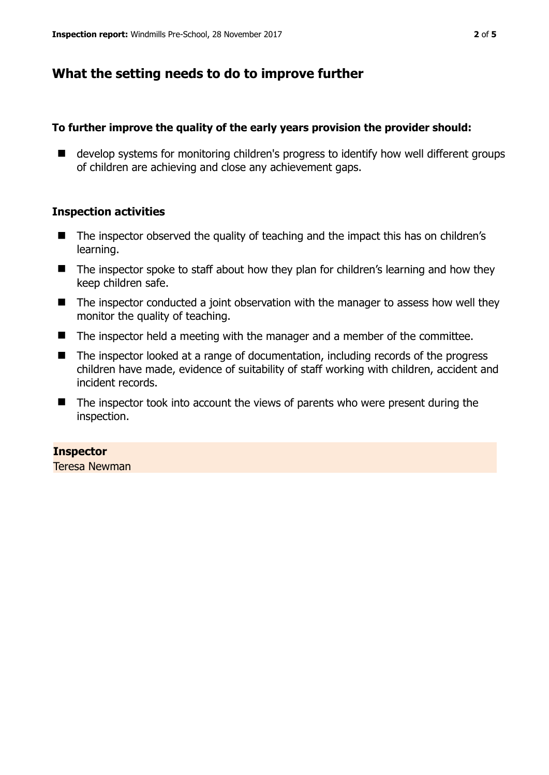# **What the setting needs to do to improve further**

#### **To further improve the quality of the early years provision the provider should:**

■ develop systems for monitoring children's progress to identify how well different groups of children are achieving and close any achievement gaps.

#### **Inspection activities**

- The inspector observed the quality of teaching and the impact this has on children's learning.
- The inspector spoke to staff about how they plan for children's learning and how they keep children safe.
- The inspector conducted a joint observation with the manager to assess how well they monitor the quality of teaching.
- The inspector held a meeting with the manager and a member of the committee.
- The inspector looked at a range of documentation, including records of the progress children have made, evidence of suitability of staff working with children, accident and incident records.
- The inspector took into account the views of parents who were present during the inspection.

#### **Inspector**

Teresa Newman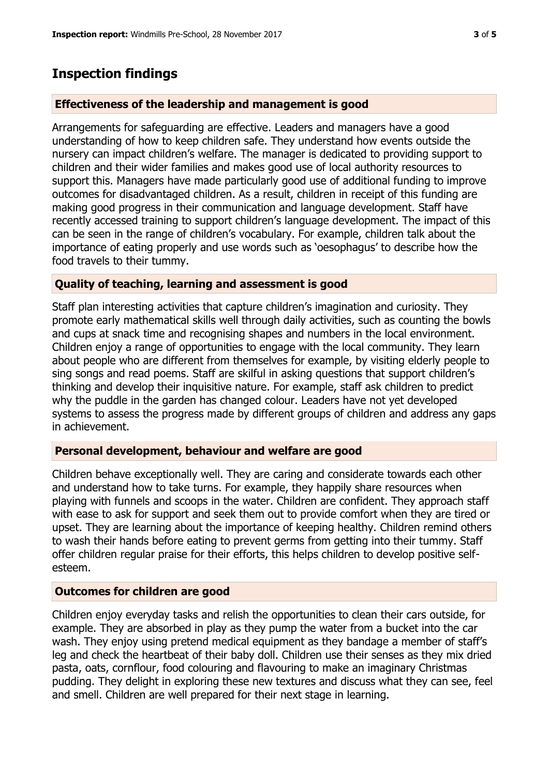## **Inspection findings**

#### **Effectiveness of the leadership and management is good**

Arrangements for safeguarding are effective. Leaders and managers have a good understanding of how to keep children safe. They understand how events outside the nursery can impact children's welfare. The manager is dedicated to providing support to children and their wider families and makes good use of local authority resources to support this. Managers have made particularly good use of additional funding to improve outcomes for disadvantaged children. As a result, children in receipt of this funding are making good progress in their communication and language development. Staff have recently accessed training to support children's language development. The impact of this can be seen in the range of children's vocabulary. For example, children talk about the importance of eating properly and use words such as 'oesophagus' to describe how the food travels to their tummy.

#### **Quality of teaching, learning and assessment is good**

Staff plan interesting activities that capture children's imagination and curiosity. They promote early mathematical skills well through daily activities, such as counting the bowls and cups at snack time and recognising shapes and numbers in the local environment. Children enjoy a range of opportunities to engage with the local community. They learn about people who are different from themselves for example, by visiting elderly people to sing songs and read poems. Staff are skilful in asking questions that support children's thinking and develop their inquisitive nature. For example, staff ask children to predict why the puddle in the garden has changed colour. Leaders have not yet developed systems to assess the progress made by different groups of children and address any gaps in achievement.

### **Personal development, behaviour and welfare are good**

Children behave exceptionally well. They are caring and considerate towards each other and understand how to take turns. For example, they happily share resources when playing with funnels and scoops in the water. Children are confident. They approach staff with ease to ask for support and seek them out to provide comfort when they are tired or upset. They are learning about the importance of keeping healthy. Children remind others to wash their hands before eating to prevent germs from getting into their tummy. Staff offer children regular praise for their efforts, this helps children to develop positive selfesteem.

#### **Outcomes for children are good**

Children enjoy everyday tasks and relish the opportunities to clean their cars outside, for example. They are absorbed in play as they pump the water from a bucket into the car wash. They enjoy using pretend medical equipment as they bandage a member of staff's leg and check the heartbeat of their baby doll. Children use their senses as they mix dried pasta, oats, cornflour, food colouring and flavouring to make an imaginary Christmas pudding. They delight in exploring these new textures and discuss what they can see, feel and smell. Children are well prepared for their next stage in learning.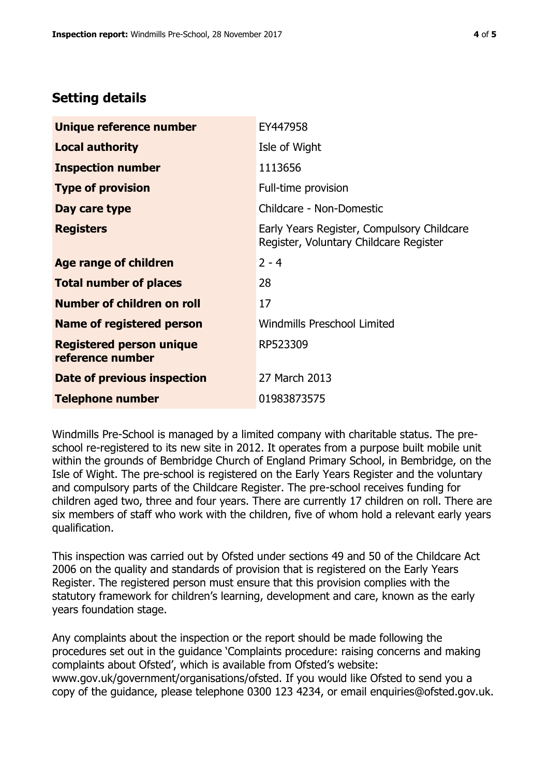# **Setting details**

| Unique reference number                             | EY447958                                                                             |  |
|-----------------------------------------------------|--------------------------------------------------------------------------------------|--|
| <b>Local authority</b>                              | Isle of Wight                                                                        |  |
| <b>Inspection number</b>                            | 1113656                                                                              |  |
| <b>Type of provision</b>                            | Full-time provision                                                                  |  |
| Day care type                                       | Childcare - Non-Domestic                                                             |  |
| <b>Registers</b>                                    | Early Years Register, Compulsory Childcare<br>Register, Voluntary Childcare Register |  |
| Age range of children                               | $2 - 4$                                                                              |  |
| <b>Total number of places</b>                       | 28                                                                                   |  |
| Number of children on roll                          | 17                                                                                   |  |
| Name of registered person                           | <b>Windmills Preschool Limited</b>                                                   |  |
| <b>Registered person unique</b><br>reference number | RP523309                                                                             |  |
| Date of previous inspection                         | 27 March 2013                                                                        |  |
| <b>Telephone number</b>                             | 01983873575                                                                          |  |

Windmills Pre-School is managed by a limited company with charitable status. The preschool re-registered to its new site in 2012. It operates from a purpose built mobile unit within the grounds of Bembridge Church of England Primary School, in Bembridge, on the Isle of Wight. The pre-school is registered on the Early Years Register and the voluntary and compulsory parts of the Childcare Register. The pre-school receives funding for children aged two, three and four years. There are currently 17 children on roll. There are six members of staff who work with the children, five of whom hold a relevant early years qualification.

This inspection was carried out by Ofsted under sections 49 and 50 of the Childcare Act 2006 on the quality and standards of provision that is registered on the Early Years Register. The registered person must ensure that this provision complies with the statutory framework for children's learning, development and care, known as the early years foundation stage.

Any complaints about the inspection or the report should be made following the procedures set out in the guidance 'Complaints procedure: raising concerns and making complaints about Ofsted', which is available from Ofsted's website: www.gov.uk/government/organisations/ofsted. If you would like Ofsted to send you a copy of the guidance, please telephone 0300 123 4234, or email enquiries@ofsted.gov.uk.